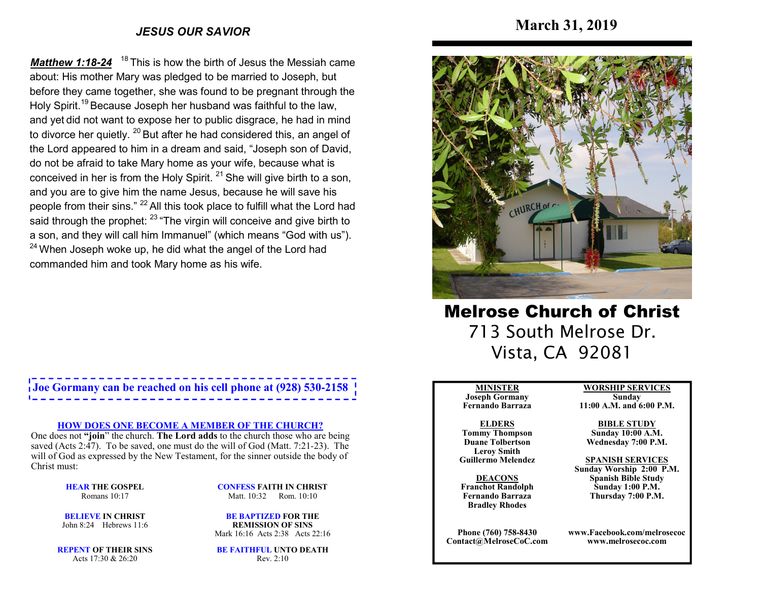## *JESUS OUR SAVIOR*

**Matthew 1:18-24** <sup>18</sup> This is how the birth of Jesus the Messiah came about: His mother Mary was pledged to be married to Joseph, but before they came together, she was found to be pregnant through the Holy Spirit.<sup>19</sup> Because Joseph her husband was faithful to the law, and yet did not want to expose her to public disgrace, he had in mind to divorce her quietly. <sup>20</sup> But after he had considered this, an angel of the Lord appeared to him in a dream and said, "Joseph son of David, do not be afraid to take Mary home as your wife, because what is conceived in her is from the Holy Spirit.  $21$  She will give birth to a son, and you are to give him the name Jesus, because he will save his people from their sins." <sup>22</sup> All this took place to fulfill what the Lord had said through the prophet: <sup>23</sup> "The virgin will conceive and give birth to a son, and they will call him Immanuel" (which means "God with us").  $^{24}$  When Joseph woke up, he did what the angel of the Lord had commanded him and took Mary home as his wife.

# **Joe Gormany can be reached on his cell phone at (928) 530-2158**

#### **HOW DOES ONE BECOME A MEMBER OF THE CHURCH?**

 One does not **"join**" the church. **The Lord adds** to the church those who are being saved (Acts 2:47). To be saved, one must do the will of God (Matt. 7:21-23). The will of God as expressed by the New Testament, for the sinner outside the body of Christ must:

> **HEAR THE GOSPEL**Romans 10:17

**CONFESS FAITH IN CHRIST**Matt. 10:32 Rom. 10:10

**BELIEVE IN CHRIST**John 8:24 Hebrews 11:6

**BE BAPTIZED FOR THE REMISSION OF SINS**Mark 16:16 Acts 2:38 Acts 22:16

**REPENT OF THEIR SINS**Acts 17:30 & 26:20

**BE FAITHFUL UNTO DEATH**Rev. 2:10



Melrose Church of Christ 713 South Melrose Dr. Vista, CA 92081

#### **MINISTER**

 **Joseph Gormany Fernando Barraza**

#### **ELDERS Tommy Thompson Duane Tolbertson**

**Leroy SmithGuillermo Melendez** 

**DEACONS Franchot Randolph Fernando BarrazaBradley Rhodes**

**Phone (760) 758-8430Contact@MelroseCoC.com** **WORSHIP SERVICESSunday** 

# **11:00 A.M. and 6:00 P.M.**

**BIBLE STUDY Sunday 10:00 A.M.Wednesday 7:00 P.M.**

#### **SPANISH SERVICES**

 **Sunday Worship 2:00 P.M.Spanish Bible Study Sunday 1:00 P.M.Thursday 7:00 P.M.**

**www.Facebook.com/melrosecocwww.melrosecoc.com**